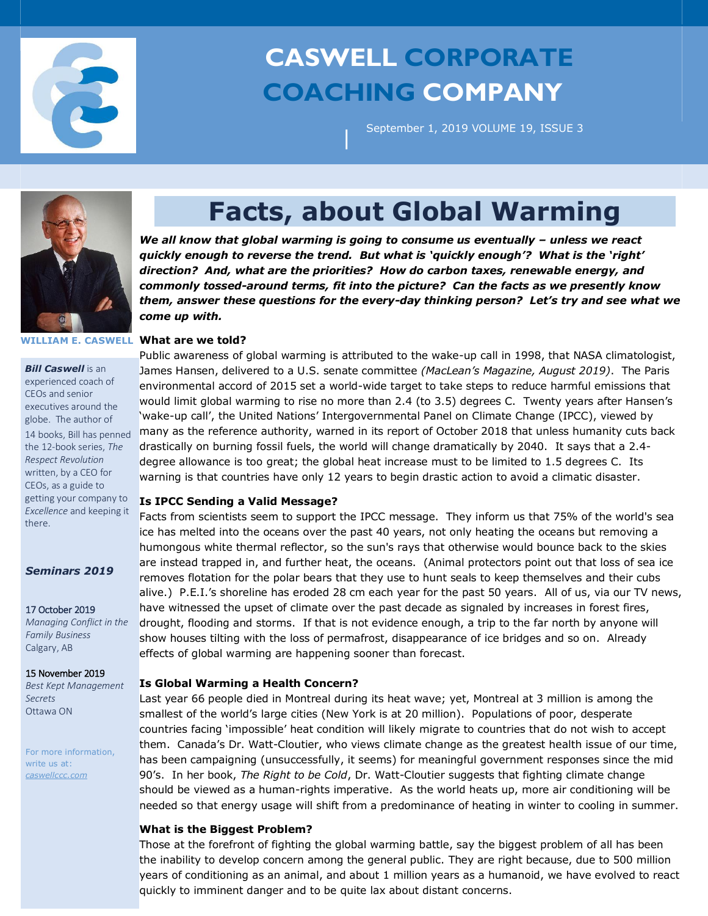

# **CASWELL CORPORATE COACHING COMPANY**

September 1, 2019 VOLUME 19, ISSUE 3



## **Facts, about Global Warming**

|

We all know that global warming is going to consume us eventually *–* unless we react *quickly enough to reverse the trend. But what is 'quickly enough'? What is the 'right' direction? And, what are the priorities? How do carbon taxes, renewable energy, and commonly tossed-around terms, fit into the picture? Can the facts as we presently know them, answer these questions for the every-day thinking person? Let's try and see what we come up with.* 

#### **WILLIAM E. CASWELL What are we told?**

*Bill Caswell* is an experienced coach of CEOs and senior executives around the globe. The author of 14 books, Bill has penned the 12-book series, *The Respect Revolution* written, by a CEO for CEOs, as a guide to getting your company to *Excellence* and keeping it there.

*Seminars 2019*

17 October 2019

*Managing Conflict in the Family Business* Calgary, AB

15 November 2019

*Best Kept Management Secrets* Ottawa ON

For more information, write us at: *caswellccc.com*

Public awareness of global warming is attributed to the wake-up call in 1998, that NASA climatologist, James Hansen, delivered to a U.S. senate committee *(MacLean's Magazine, August 2019)*. The Paris environmental accord of 2015 set a world-wide target to take steps to reduce harmful emissions that would limit global warming to rise no more than 2.4 (to 3.5) degrees C. Twenty years after Hansen's 'wake-up call', the United Nations' Intergovernmental Panel on Climate Change (IPCC), viewed by many as the reference authority, warned in its report of October 2018 that unless humanity cuts back drastically on burning fossil fuels, the world will change dramatically by 2040. It says that a 2.4 degree allowance is too great; the global heat increase must to be limited to 1.5 degrees C. Its warning is that countries have only 12 years to begin drastic action to avoid a climatic disaster. **Is IPCC Sending a Valid Message?** Facts from scientists seem to support the IPCC message. They inform us that 75% of the world's sea ice has melted into the oceans over the past 40 years, not only heating the oceans but removing a humongous white thermal reflector, so the sun's rays that otherwise would bounce back to the skies

are instead trapped in, and further heat, the oceans. (Animal protectors point out that loss of sea ice removes flotation for the polar bears that they use to hunt seals to keep themselves and their cubs alive.) P.E.I.'s shoreline has eroded 28 cm each year for the past 50 years. All of us, via our TV news, have witnessed the upset of climate over the past decade as signaled by increases in forest fires, drought, flooding and storms. If that is not evidence enough, a trip to the far north by anyone will show houses tilting with the loss of permafrost, disappearance of ice bridges and so on. Already effects of global warming are happening sooner than forecast.

### **Is Global Warming a Health Concern?**

Last year 66 people died in Montreal during its heat wave; yet, Montreal at 3 million is among the smallest of the world's large cities (New York is at 20 million). Populations of poor, desperate countries facing 'impossible' heat condition will likely migrate to countries that do not wish to accept them. Canada's Dr. Watt-Cloutier, who views climate change as the greatest health issue of our time, has been campaigning (unsuccessfully, it seems) for meaningful government responses since the mid 90's. In her book, *The Right to be Cold*, Dr. Watt-Cloutier suggests that fighting climate change should be viewed as a human-rights imperative. As the world heats up, more air conditioning will be needed so that energy usage will shift from a predominance of heating in winter to cooling in summer.

#### **What is the Biggest Problem?**

Those at the forefront of fighting the global warming battle, say the biggest problem of all has been the inability to develop concern among the general public. They are right because, due to 500 million years of conditioning as an animal, and about 1 million years as a humanoid, we have evolved to react quickly to imminent danger and to be quite lax about distant concerns.